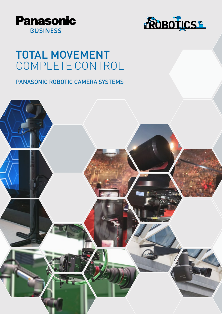



## TOTAL MOVEMENT COMPLETE CONTROL

## PANASONIC ROBOTIC CAMERA SYSTEMS

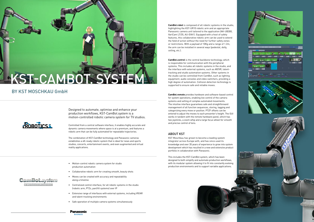Designed to automate, optimise and enhance your production workflows, KST-CamBot.system is a motion-controlled robotic camera system for TV studios.



Controlled from a central software interface, it enables highly accurate and dynamic camera movements where space is at a premium, and features a robotic arm that can be fully automated for repeatable trajectories.

The combination of KST-CamBot technology and Panasonic cameras establishes a 4K-ready robotic system that is ideal for news and sports studios, concerts, entertainment events, and even augmented and virtual reality applications.



**CamBot.robot** is composed of all robotic systems in the studio, highlighting the KST-UR10 robotic arm and an appropriate Panasonic camera unit tailored to the application (AK-UB300, VariCam LT/35, AU-EVA1). Equipped with a host of safety features, this collaborative robotic arm can be used to extend the field of action without the need for further safety zones or restrictions. With a payload of 10Kg and a range of 1.2m, the arm can be installed in several ways (pedestal, dolly, ceiling, etc.).

**CamBot.control** is the central backbone technology, which is responsible for communication with the peripheral systems. This includes all robotic systems in the studio, and the interface with external systems, such as AR/VR, talenttracking and studio automation systems. Other systems in the studio can be controlled from CamBot, such as lighting equipment, audio consoles and video switchers, providing a high degree of automation. Collision detection technology is supported to ensure safe and reliable moves.

**CamBot.remote** provides hardware and software-based control for system operations, enabling live control of the camera systems and setting of complex automated movements. The intuitive interface guarantees safe and straightforward management of all function sequences, storing, tagging and categorizing every move or position. PTZF offsets can be entered to adjust the moves to each presenter's height. The GUI works in tandem with the remote hardware panel, which has two joysticks, a zoom whip and a large focus wheel for smooth and precise control of lens.

## ABOUT KST

KST Moschkau has grown to become a leading system integrator across Europe with, and has since used its knowledge and over 35 years of experience to grow into system development which has resulted in a new and extensive product portfolio in collaboration with Panasonic.

This includes the KST-CamBot.system, which has been designed to both simplify and automate production workflows, with its modular system allowing it to fit into constantly evolving production environments and to support variable applications.











- Motion-control robotic camera system for studio production automation
- Collaborative robotic arm for creating smooth, beauty shots
- Moves can be created with accuracy and repeatability along a timeline
- Centralized control interface, for all robotic systems in the studio (robotic arm, PTZs, pan/tilt systems) over IP
- Extensive range of interfaces with external systems, including VR/AR and talent-tracking environments
- Safe operation of multiple camera systems simultaneously

## BY KST MOSCHKAU GmbH